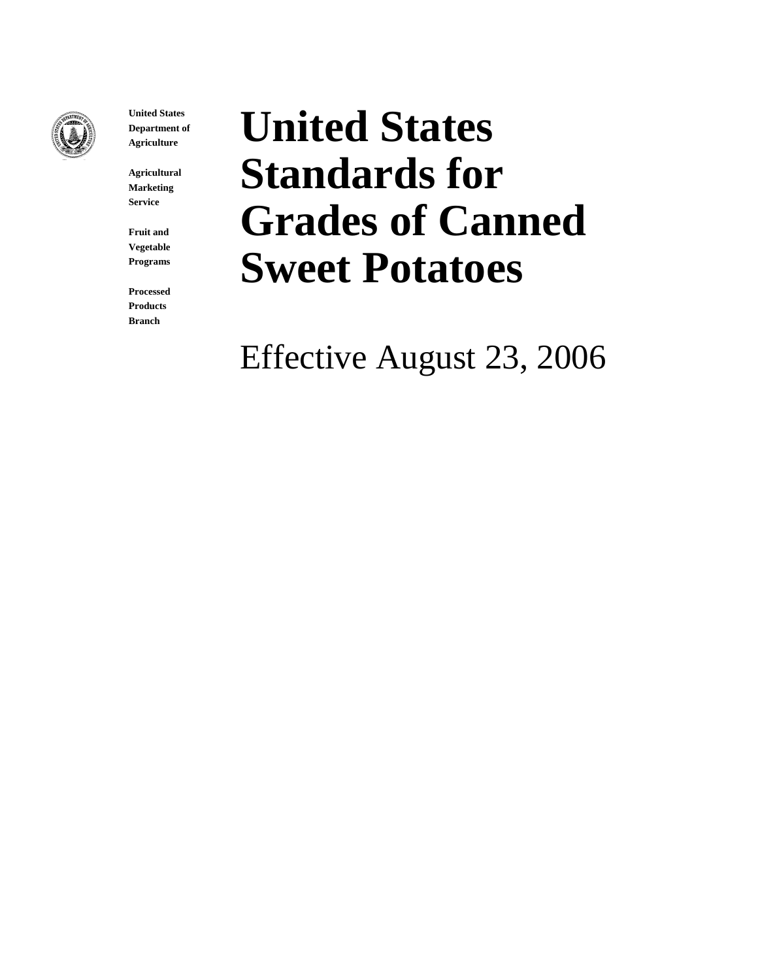

**United States Department of Agriculture** 

**Agricultural Marketing Service** 

**Fruit and Vegetable Programs** 

**Processed Products Branch**

# **United States Standards for Grades of Canned Sweet Potatoes**

Effective August 23, 2006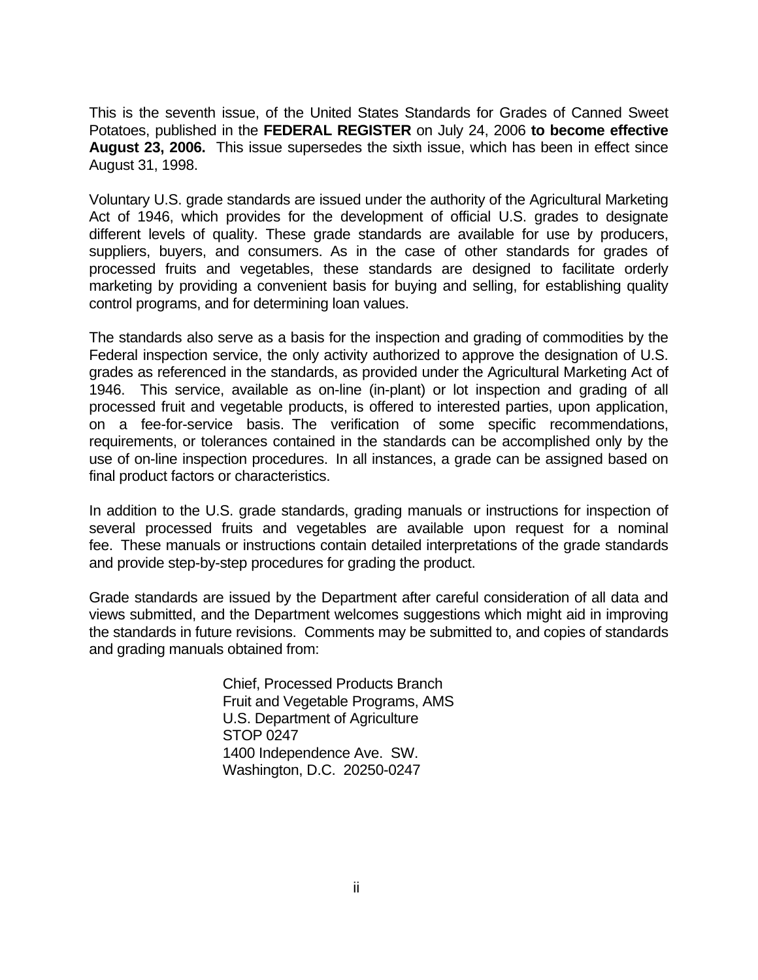This is the seventh issue, of the United States Standards for Grades of Canned Sweet Potatoes, published in the **FEDERAL REGISTER** on July 24, 2006 **to become effective August 23, 2006.** This issue supersedes the sixth issue, which has been in effect since August 31, 1998.

Voluntary U.S. grade standards are issued under the authority of the Agricultural Marketing Act of 1946, which provides for the development of official U.S. grades to designate different levels of quality. These grade standards are available for use by producers, suppliers, buyers, and consumers. As in the case of other standards for grades of processed fruits and vegetables, these standards are designed to facilitate orderly marketing by providing a convenient basis for buying and selling, for establishing quality control programs, and for determining loan values.

The standards also serve as a basis for the inspection and grading of commodities by the Federal inspection service, the only activity authorized to approve the designation of U.S. grades as referenced in the standards, as provided under the Agricultural Marketing Act of 1946. This service, available as on-line (in-plant) or lot inspection and grading of all processed fruit and vegetable products, is offered to interested parties, upon application, on a fee-for-service basis. The verification of some specific recommendations, requirements, or tolerances contained in the standards can be accomplished only by the use of on-line inspection procedures. In all instances, a grade can be assigned based on final product factors or characteristics.

In addition to the U.S. grade standards, grading manuals or instructions for inspection of several processed fruits and vegetables are available upon request for a nominal fee. These manuals or instructions contain detailed interpretations of the grade standards and provide step-by-step procedures for grading the product.

Grade standards are issued by the Department after careful consideration of all data and views submitted, and the Department welcomes suggestions which might aid in improving the standards in future revisions. Comments may be submitted to, and copies of standards and grading manuals obtained from:

> Chief, Processed Products Branch Fruit and Vegetable Programs, AMS U.S. Department of Agriculture STOP 0247 1400 Independence Ave. SW. Washington, D.C. 20250-0247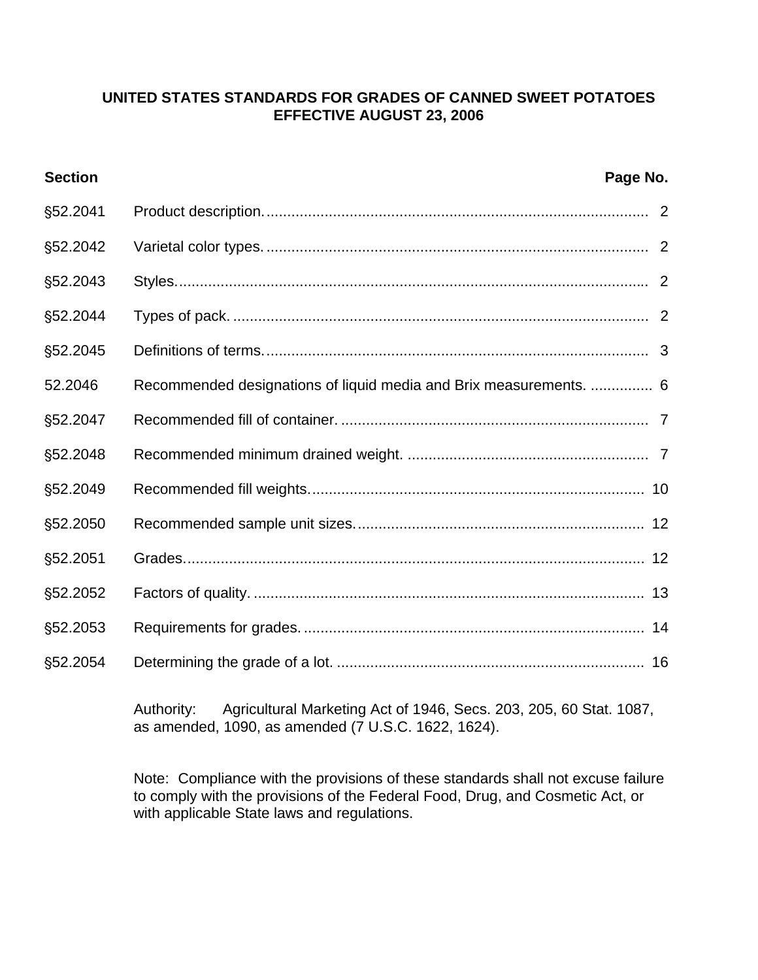## **UNITED STATES STANDARDS FOR GRADES OF CANNED SWEET POTATOES EFFECTIVE AUGUST 23, 2006**

| <b>Section</b> | Page No.                                                           |
|----------------|--------------------------------------------------------------------|
| §52.2041       |                                                                    |
| §52.2042       |                                                                    |
| §52.2043       |                                                                    |
| §52.2044       |                                                                    |
| §52.2045       |                                                                    |
| 52.2046        | Recommended designations of liquid media and Brix measurements.  6 |
| §52.2047       |                                                                    |
| §52.2048       |                                                                    |
| §52.2049       |                                                                    |
| §52.2050       |                                                                    |
| §52.2051       |                                                                    |
| §52.2052       |                                                                    |
| §52.2053       |                                                                    |
| §52.2054       |                                                                    |

Authority: Agricultural Marketing Act of 1946, Secs. 203, 205, 60 Stat. 1087, as amended, 1090, as amended (7 U.S.C. 1622, 1624).

Note: Compliance with the provisions of these standards shall not excuse failure to comply with the provisions of the Federal Food, Drug, and Cosmetic Act, or with applicable State laws and regulations.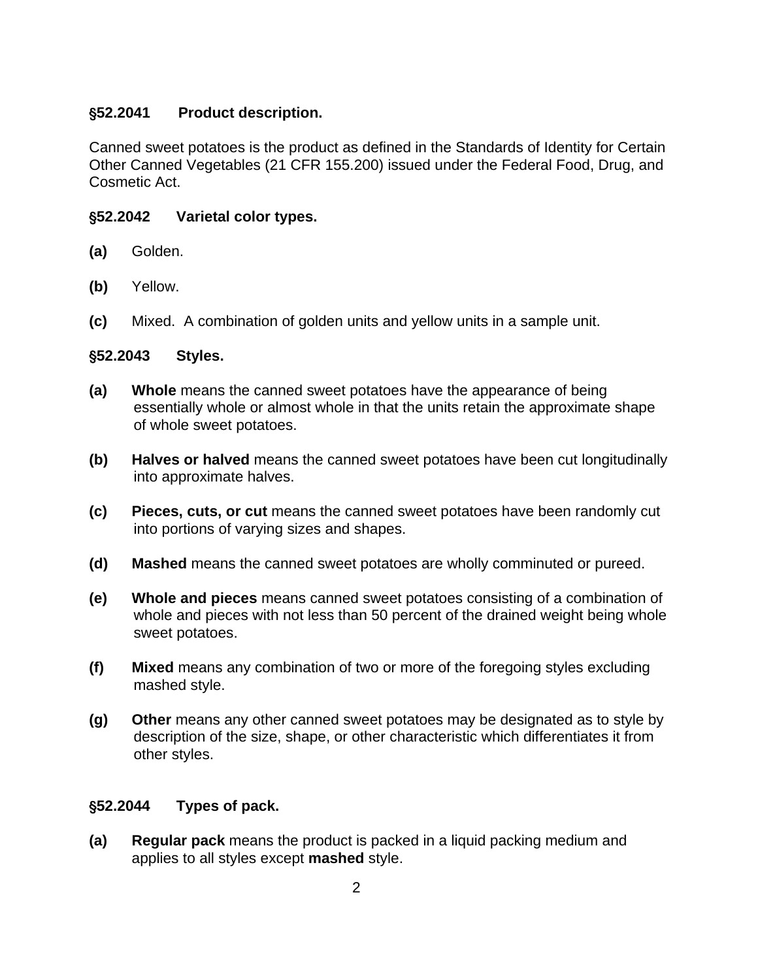## '**52.2041 Product description.**

Canned sweet potatoes is the product as defined in the Standards of Identity for Certain Other Canned Vegetables (21 CFR 155.200) issued under the Federal Food, Drug, and Cosmetic Act.

#### '**52.2042 Varietal color types.**

- **(a)** Golden.
- **(b)** Yellow.
- **(c)** Mixed. A combination of golden units and yellow units in a sample unit.

## '**52.2043 Styles.**

- **(a) Whole** means the canned sweet potatoes have the appearance of being essentially whole or almost whole in that the units retain the approximate shape of whole sweet potatoes.
- **(b) Halves or halved** means the canned sweet potatoes have been cut longitudinally into approximate halves.
- **(c) Pieces, cuts, or cut** means the canned sweet potatoes have been randomly cut into portions of varying sizes and shapes.
- **(d) Mashed** means the canned sweet potatoes are wholly comminuted or pureed.
- **(e) Whole and pieces** means canned sweet potatoes consisting of a combination of whole and pieces with not less than 50 percent of the drained weight being whole sweet potatoes.
- **(f) Mixed** means any combination of two or more of the foregoing styles excluding mashed style.
- **(g) Other** means any other canned sweet potatoes may be designated as to style by description of the size, shape, or other characteristic which differentiates it from other styles.

# '**52.2044 Types of pack.**

**(a) Regular pack** means the product is packed in a liquid packing medium and applies to all styles except **mashed** style.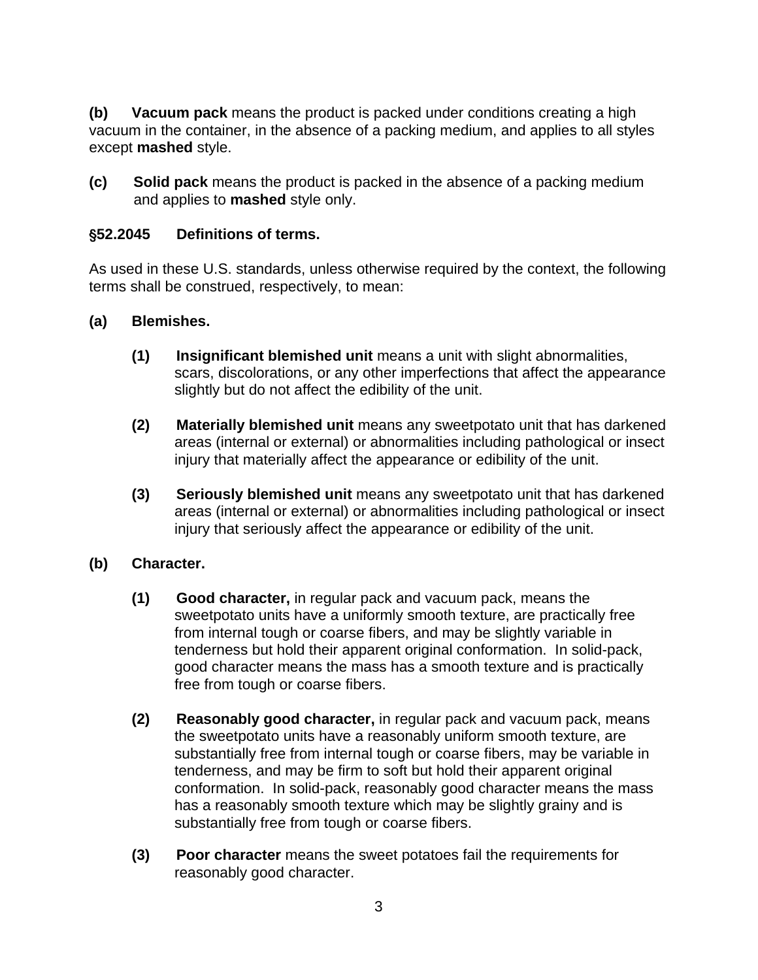**(b) Vacuum pack** means the product is packed under conditions creating a high vacuum in the container, in the absence of a packing medium, and applies to all styles except **mashed** style.

**(c) Solid pack** means the product is packed in the absence of a packing medium and applies to **mashed** style only.

## '**52.2045 Definitions of terms.**

As used in these U.S. standards, unless otherwise required by the context, the following terms shall be construed, respectively, to mean:

- **(a) Blemishes.**
	- **(1) Insignificant blemished unit** means a unit with slight abnormalities, scars, discolorations, or any other imperfections that affect the appearance slightly but do not affect the edibility of the unit.
	- **(2) Materially blemished unit** means any sweetpotato unit that has darkened areas (internal or external) or abnormalities including pathological or insect injury that materially affect the appearance or edibility of the unit.
	- **(3) Seriously blemished unit** means any sweetpotato unit that has darkened areas (internal or external) or abnormalities including pathological or insect injury that seriously affect the appearance or edibility of the unit.

# **(b) Character.**

- **(1) Good character,** in regular pack and vacuum pack, means the sweetpotato units have a uniformly smooth texture, are practically free from internal tough or coarse fibers, and may be slightly variable in tenderness but hold their apparent original conformation. In solid-pack, good character means the mass has a smooth texture and is practically free from tough or coarse fibers.
- **(2) Reasonably good character,** in regular pack and vacuum pack, means the sweetpotato units have a reasonably uniform smooth texture, are substantially free from internal tough or coarse fibers, may be variable in tenderness, and may be firm to soft but hold their apparent original conformation. In solid-pack, reasonably good character means the mass has a reasonably smooth texture which may be slightly grainy and is substantially free from tough or coarse fibers.
- **(3) Poor character** means the sweet potatoes fail the requirements for reasonably good character.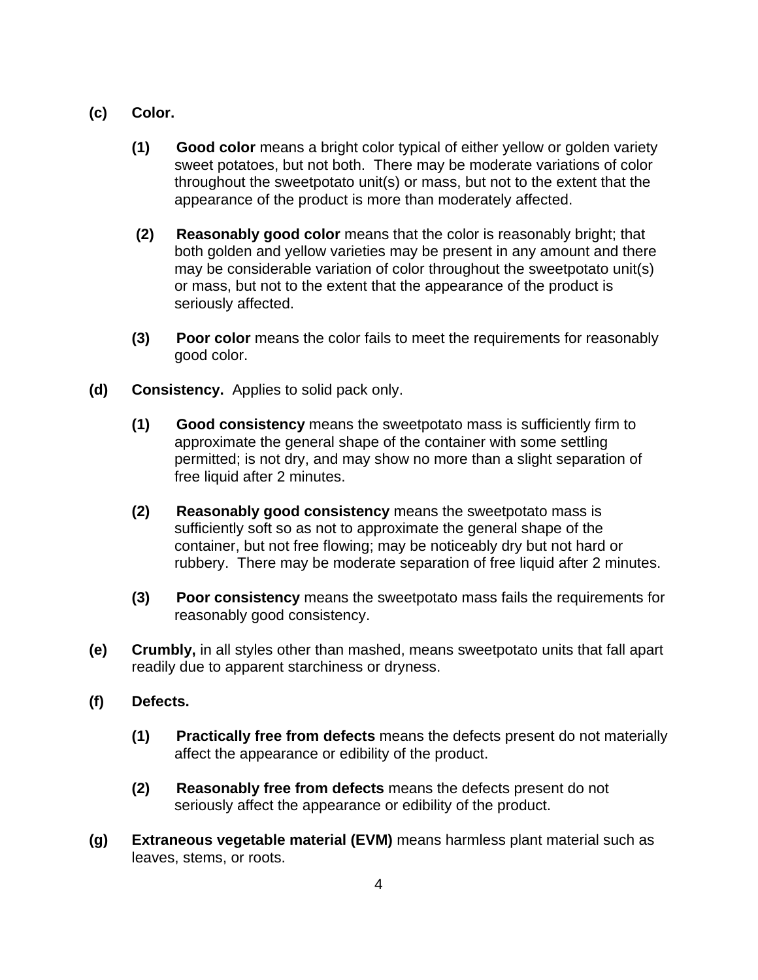- **(c) Color.**
	- **(1) Good color** means a bright color typical of either yellow or golden variety sweet potatoes, but not both. There may be moderate variations of color throughout the sweetpotato unit(s) or mass, but not to the extent that the appearance of the product is more than moderately affected.
	- **(2) Reasonably good color** means that the color is reasonably bright; that both golden and yellow varieties may be present in any amount and there may be considerable variation of color throughout the sweetpotato unit(s) or mass, but not to the extent that the appearance of the product is seriously affected.
	- **(3) Poor color** means the color fails to meet the requirements for reasonably good color.
- **(d) Consistency.** Applies to solid pack only.
	- **(1) Good consistency** means the sweetpotato mass is sufficiently firm to approximate the general shape of the container with some settling permitted; is not dry, and may show no more than a slight separation of free liquid after 2 minutes.
	- **(2) Reasonably good consistency** means the sweetpotato mass is sufficiently soft so as not to approximate the general shape of the container, but not free flowing; may be noticeably dry but not hard or rubbery. There may be moderate separation of free liquid after 2 minutes.
	- **(3) Poor consistency** means the sweetpotato mass fails the requirements for reasonably good consistency.
- **(e) Crumbly,** in all styles other than mashed, means sweetpotato units that fall apart readily due to apparent starchiness or dryness.
- **(f) Defects.**
	- **(1) Practically free from defects** means the defects present do not materially affect the appearance or edibility of the product.
	- **(2) Reasonably free from defects** means the defects present do not seriously affect the appearance or edibility of the product.
- **(g) Extraneous vegetable material (EVM)** means harmless plant material such as leaves, stems, or roots.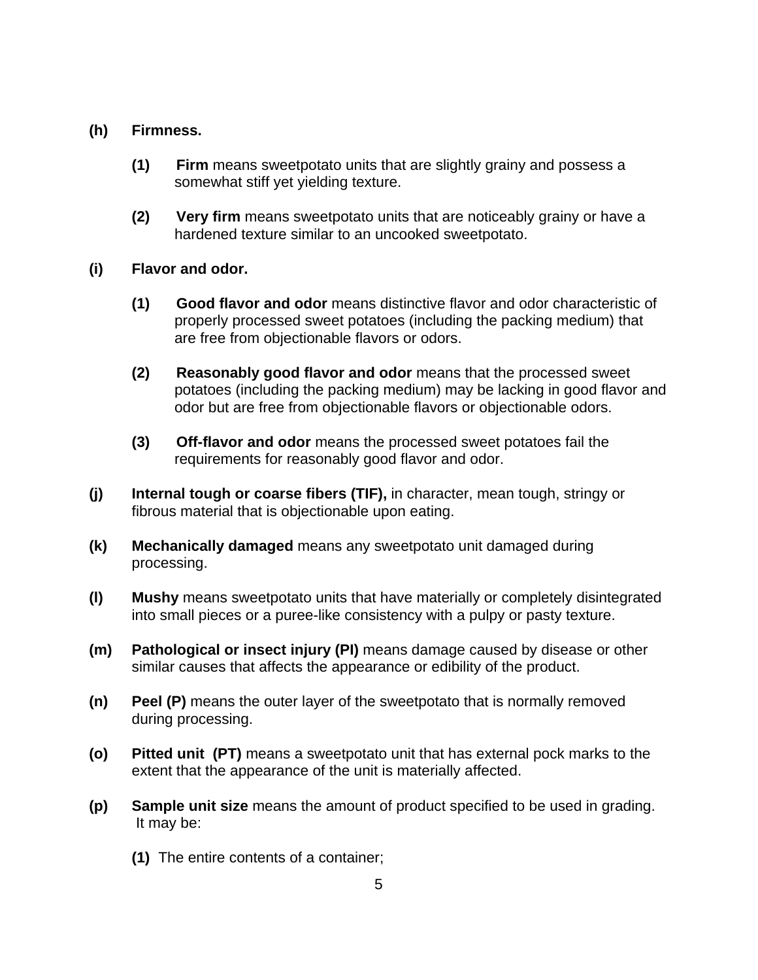#### **(h) Firmness.**

- **(1) Firm** means sweetpotato units that are slightly grainy and possess a somewhat stiff yet yielding texture.
- **(2) Very firm** means sweetpotato units that are noticeably grainy or have a hardened texture similar to an uncooked sweetpotato.
- **(i) Flavor and odor.**
	- **(1) Good flavor and odor** means distinctive flavor and odor characteristic of properly processed sweet potatoes (including the packing medium) that are free from objectionable flavors or odors.
	- **(2) Reasonably good flavor and odor** means that the processed sweet potatoes (including the packing medium) may be lacking in good flavor and odor but are free from objectionable flavors or objectionable odors.
	- **(3) Off-flavor and odor** means the processed sweet potatoes fail the requirements for reasonably good flavor and odor.
- **(j) Internal tough or coarse fibers (TIF),** in character, mean tough, stringy or fibrous material that is objectionable upon eating.
- **(k) Mechanically damaged** means any sweetpotato unit damaged during processing.
- **(l) Mushy** means sweetpotato units that have materially or completely disintegrated into small pieces or a puree-like consistency with a pulpy or pasty texture.
- **(m) Pathological or insect injury (PI)** means damage caused by disease or other similar causes that affects the appearance or edibility of the product.
- **(n) Peel (P)** means the outer layer of the sweetpotato that is normally removed during processing.
- **(o) Pitted unit (PT)** means a sweetpotato unit that has external pock marks to the extent that the appearance of the unit is materially affected.
- **(p) Sample unit size** means the amount of product specified to be used in grading. It may be:
	- **(1)** The entire contents of a container;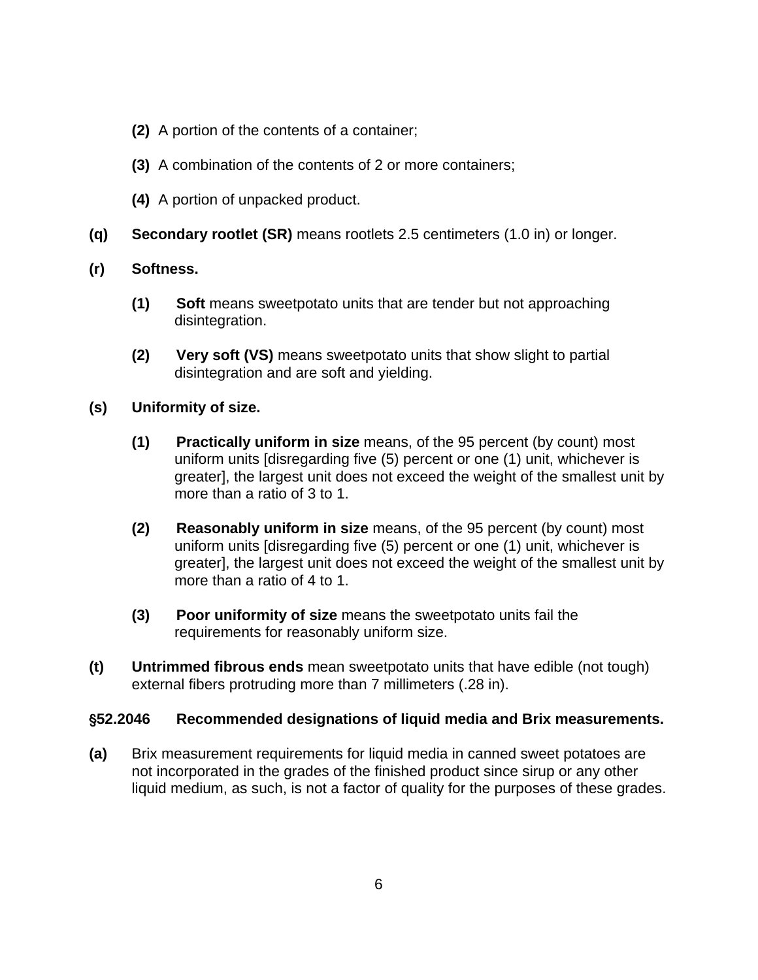- **(2)** A portion of the contents of a container;
- **(3)** A combination of the contents of 2 or more containers;
- **(4)** A portion of unpacked product.
- **(q) Secondary rootlet (SR)** means rootlets 2.5 centimeters (1.0 in) or longer.
- **(r) Softness.**
	- **(1) Soft** means sweetpotato units that are tender but not approaching disintegration.
	- **(2) Very soft (VS)** means sweetpotato units that show slight to partial disintegration and are soft and yielding.

#### **(s) Uniformity of size.**

- **(1) Practically uniform in size** means, of the 95 percent (by count) most uniform units [disregarding five (5) percent or one (1) unit, whichever is greater], the largest unit does not exceed the weight of the smallest unit by more than a ratio of 3 to 1.
- **(2) Reasonably uniform in size** means, of the 95 percent (by count) most uniform units [disregarding five (5) percent or one (1) unit, whichever is greater], the largest unit does not exceed the weight of the smallest unit by more than a ratio of 4 to 1.
- **(3) Poor uniformity of size** means the sweetpotato units fail the requirements for reasonably uniform size.
- **(t) Untrimmed fibrous ends** mean sweetpotato units that have edible (not tough) external fibers protruding more than 7 millimeters (.28 in).

#### '**52.2046 Recommended designations of liquid media and Brix measurements.**

**(a)** Brix measurement requirements for liquid media in canned sweet potatoes are not incorporated in the grades of the finished product since sirup or any other liquid medium, as such, is not a factor of quality for the purposes of these grades.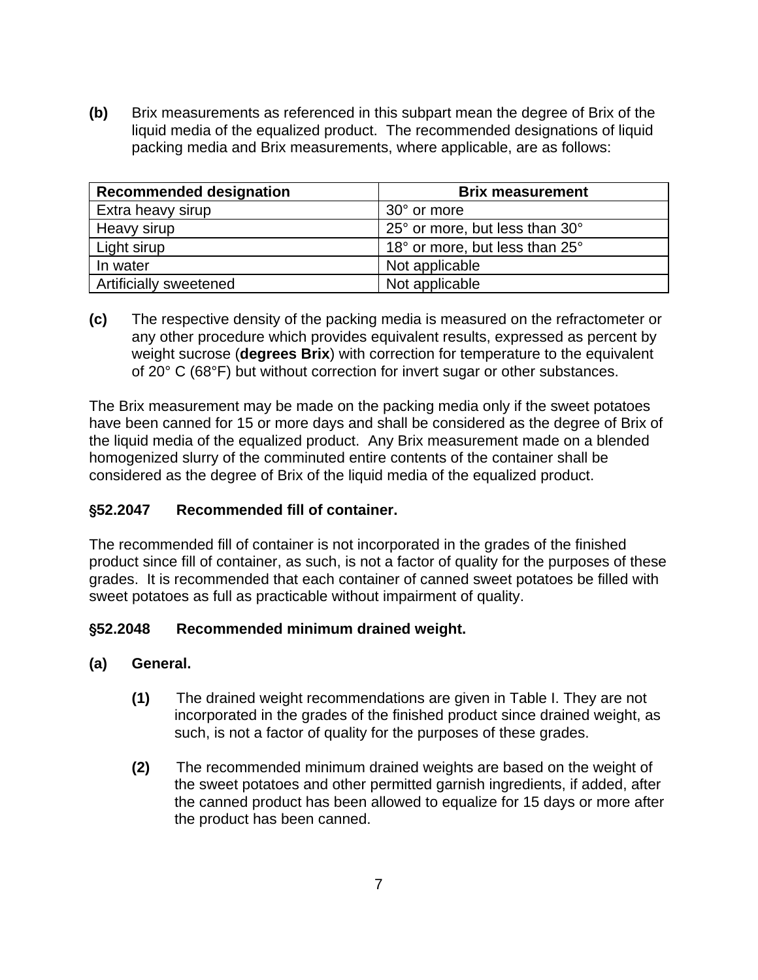**(b)** Brix measurements as referenced in this subpart mean the degree of Brix of the liquid media of the equalized product. The recommended designations of liquid packing media and Brix measurements, where applicable, are as follows:

| <b>Recommended designation</b> | <b>Brix measurement</b>        |
|--------------------------------|--------------------------------|
| Extra heavy sirup              | 30° or more                    |
| Heavy sirup                    | 25° or more, but less than 30° |
| Light sirup                    | 18° or more, but less than 25° |
| In water                       | Not applicable                 |
| Artificially sweetened         | Not applicable                 |

**(c)** The respective density of the packing media is measured on the refractometer or any other procedure which provides equivalent results, expressed as percent by weight sucrose (**degrees Brix**) with correction for temperature to the equivalent of 20° C (68°F) but without correction for invert sugar or other substances.

The Brix measurement may be made on the packing media only if the sweet potatoes have been canned for 15 or more days and shall be considered as the degree of Brix of the liquid media of the equalized product. Any Brix measurement made on a blended homogenized slurry of the comminuted entire contents of the container shall be considered as the degree of Brix of the liquid media of the equalized product.

# '**52.2047 Recommended fill of container.**

The recommended fill of container is not incorporated in the grades of the finished product since fill of container, as such, is not a factor of quality for the purposes of these grades. It is recommended that each container of canned sweet potatoes be filled with sweet potatoes as full as practicable without impairment of quality.

# '**52.2048 Recommended minimum drained weight.**

- **(a) General.**
	- **(1)** The drained weight recommendations are given in Table I. They are not incorporated in the grades of the finished product since drained weight, as such, is not a factor of quality for the purposes of these grades.
	- **(2)** The recommended minimum drained weights are based on the weight of the sweet potatoes and other permitted garnish ingredients, if added, after the canned product has been allowed to equalize for 15 days or more after the product has been canned.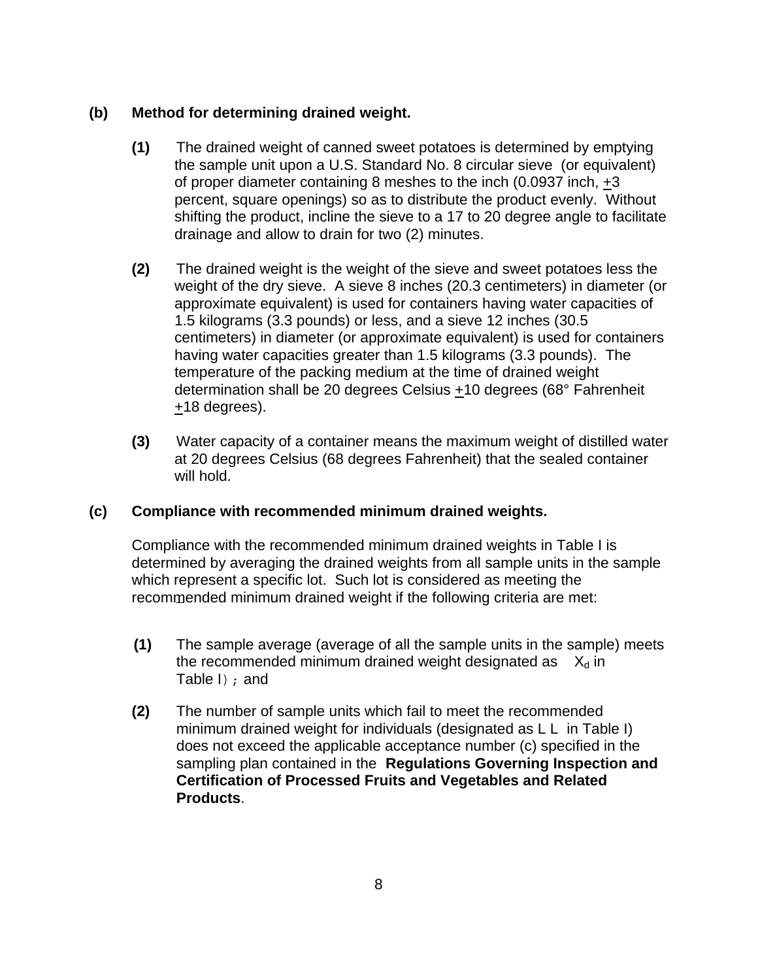# **(b) Method for determining drained weight.**

- **(1)** The drained weight of canned sweet potatoes is determined by emptying the sample unit upon a U.S. Standard No. 8 circular sieve (or equivalent) of proper diameter containing 8 meshes to the inch (0.0937 inch, +3 percent, square openings) so as to distribute the product evenly. Without shifting the product, incline the sieve to a 17 to 20 degree angle to facilitate drainage and allow to drain for two (2) minutes.
- **(2)** The drained weight is the weight of the sieve and sweet potatoes less the weight of the dry sieve. A sieve 8 inches (20.3 centimeters) in diameter (or approximate equivalent) is used for containers having water capacities of 1.5 kilograms (3.3 pounds) or less, and a sieve 12 inches (30.5 centimeters) in diameter (or approximate equivalent) is used for containers having water capacities greater than 1.5 kilograms (3.3 pounds). The temperature of the packing medium at the time of drained weight determination shall be 20 degrees Celsius +10 degrees (68° Fahrenheit  $±18$  degrees).
- **(3)** Water capacity of a container means the maximum weight of distilled water at 20 degrees Celsius (68 degrees Fahrenheit) that the sealed container will hold.

#### **(c) Compliance with recommended minimum drained weights.**

 Compliance with the recommended minimum drained weights in Table I is determined by averaging the drained weights from all sample units in the sample which represent a specific lot. Such lot is considered as meeting the recommended minimum drained weight if the following criteria are met:

- **(1)** The sample average (average of all the sample units in the sample) meets the recommended minimum drained weight designated as  $X_d$  in Table I); and
- **(2)** The number of sample units which fail to meet the recommended minimum drained weight for individuals (designated as L L in Table I) does not exceed the applicable acceptance number (c) specified in the sampling plan contained in the **Regulations Governing Inspection and Certification of Processed Fruits and Vegetables and Related Products**.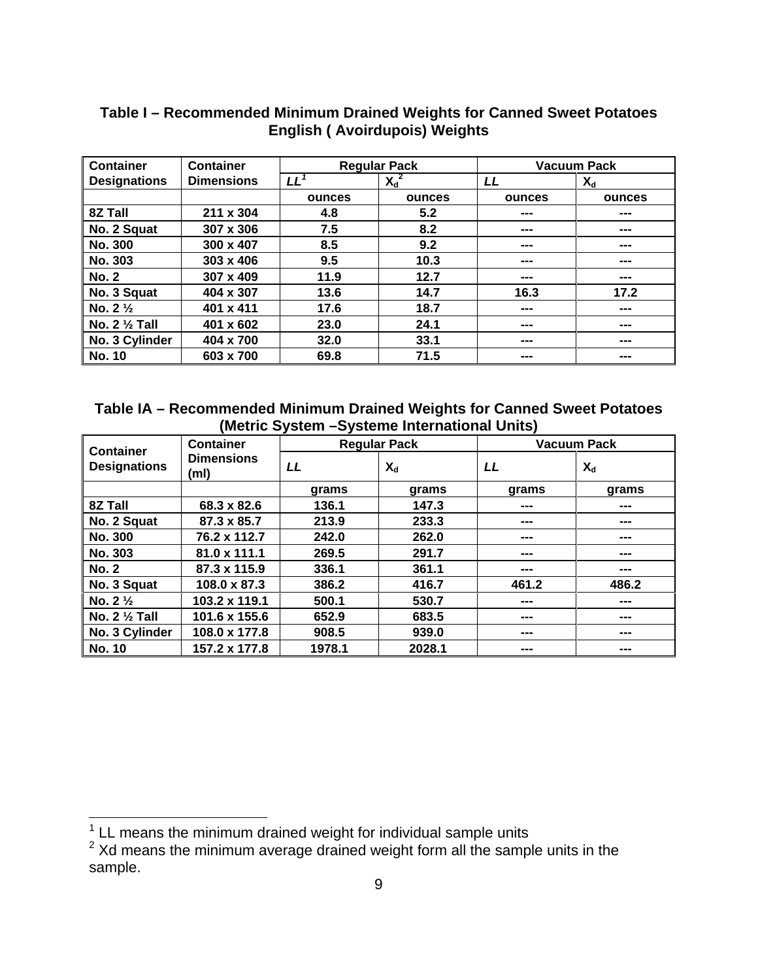| <b>Container</b>    | <b>Container</b>  | <b>Regular Pack</b> |         |        | <b>Vacuum Pack</b> |
|---------------------|-------------------|---------------------|---------|--------|--------------------|
| <b>Designations</b> | <b>Dimensions</b> | $LL^1$              | $X_d^2$ | LL     | $X_d$              |
|                     |                   | ounces              | ounces  | ounces | ounces             |
| 8Z Tall             | 211 x 304         | 4.8                 | 5.2     | ---    | ---                |
| No. 2 Squat         | 307 x 306         | 7.5                 | 8.2     | ---    | ---                |
| <b>No. 300</b>      | 300 x 407         | 8.5                 | 9.2     | ---    | ---                |
| No. 303             | $303 \times 406$  | 9.5                 | 10.3    | ---    | ---                |
| <b>No. 2</b>        | 307 x 409         | 11.9                | 12.7    | ---    | ---                |
| No. 3 Squat         | 404 x 307         | 13.6                | 14.7    | 16.3   | 17.2               |
| No. $2\frac{1}{2}$  | 401 x 411         | 17.6                | 18.7    | ---    | ---                |
| No. 2 1/2 Tall      | 401 x 602         | 23.0                | 24.1    | ---    | ---                |
| No. 3 Cylinder      | 404 x 700         | 32.0                | 33.1    | ---    | ---                |
| <b>No. 10</b>       | 603 x 700         | 69.8                | 71.5    | ---    | ---                |

**Table I – Recommended Minimum Drained Weights for Canned Sweet Potatoes English ( Avoirdupois) Weights** 

**Table IA – Recommended Minimum Drained Weights for Canned Sweet Potatoes (Metric System –Systeme International Units)** 

| <b>Container</b>    | <b>Container</b>          |        | <b>Regular Pack</b> | Vacuum Pack |       |
|---------------------|---------------------------|--------|---------------------|-------------|-------|
| <b>Designations</b> | <b>Dimensions</b><br>(ml) | LL     | $X_{d}$             | LL          | $X_d$ |
|                     |                           | grams  | grams               | grams       | grams |
| 8Z Tall             | 68.3 x 82.6               | 136.1  | 147.3               | ---         | ---   |
| No. 2 Squat         | 87.3 x 85.7               | 213.9  | 233.3               | ---         | ---   |
| <b>No. 300</b>      | 76.2 x 112.7              | 242.0  | 262.0               | ---         |       |
| <b>No. 303</b>      | 81.0 x 111.1              | 269.5  | 291.7               | ---         | ---   |
| <b>No. 2</b>        | 87.3 x 115.9              | 336.1  | 361.1               | ---         | ---   |
| No. 3 Squat         | 108.0 x 87.3              | 386.2  | 416.7               | 461.2       | 486.2 |
| No. $2\frac{1}{2}$  | 103.2 x 119.1             | 500.1  | 530.7               | ---         | ---   |
| No. 2 1/2 Tall      | 101.6 x 155.6             | 652.9  | 683.5               | ---         |       |
| No. 3 Cylinder      | 108.0 x 177.8             | 908.5  | 939.0               | ---         | ---   |
| <b>No. 10</b>       | 157.2 x 177.8             | 1978.1 | 2028.1              | ---         |       |

**EVALUA CONCORDERGHTM**<br><sup>1</sup> LL means the minimum drained weight for individual sample units

 $2$  Xd means the minimum average drained weight form all the sample units in the sample.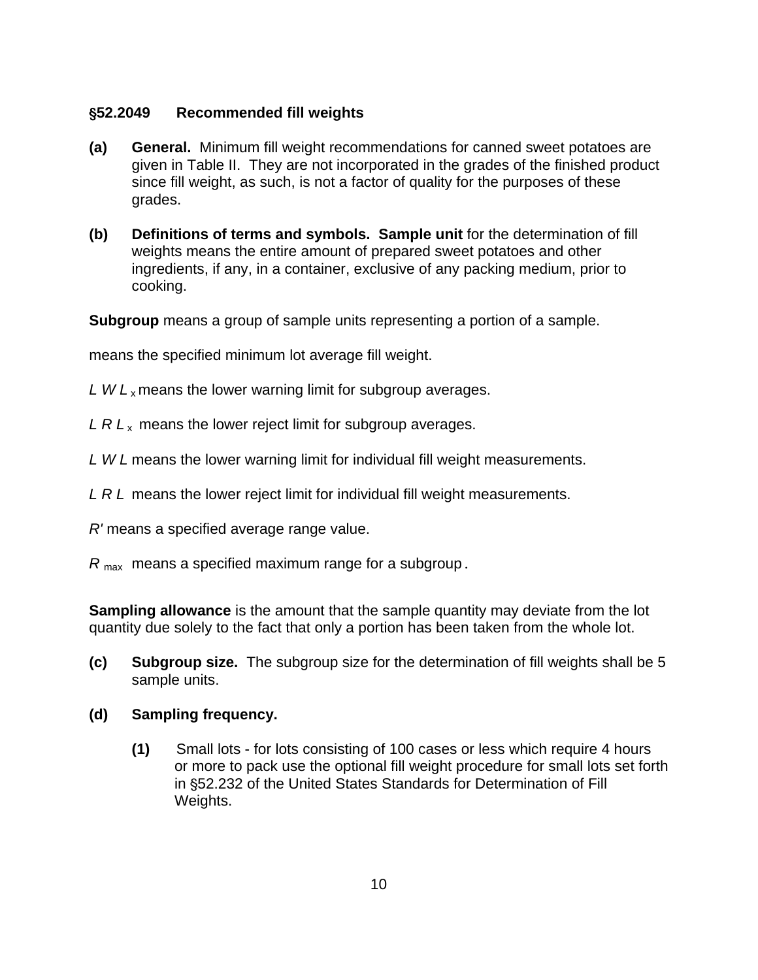#### '**52.2049 Recommended fill weights**

- **(a) General.** Minimum fill weight recommendations for canned sweet potatoes are given in Table II. They are not incorporated in the grades of the finished product since fill weight, as such, is not a factor of quality for the purposes of these grades.
- **(b) Definitions of terms and symbols. Sample unit** for the determination of fill weights means the entire amount of prepared sweet potatoes and other ingredients, if any, in a container, exclusive of any packing medium, prior to cooking.

**Subgroup** means a group of sample units representing a portion of a sample.

means the specified minimum lot average fill weight.

*L* W *L*<sub>x</sub> means the lower warning limit for subgroup averages.

- *L R L<sub>x</sub>* means the lower reject limit for subgroup averages.
- *L W L* means the lower warning limit for individual fill weight measurements.
- *L R L* means the lower reject limit for individual fill weight measurements.

*R'* means a specified average range value.

*R* max means a specified maximum range for a subgroup.

**Sampling allowance** is the amount that the sample quantity may deviate from the lot quantity due solely to the fact that only a portion has been taken from the whole lot.

**(c) Subgroup size.** The subgroup size for the determination of fill weights shall be 5 sample units.

#### **(d) Sampling frequency.**

**(1)** Small lots - for lots consisting of 100 cases or less which require 4 hours or more to pack use the optional fill weight procedure for small lots set forth in \$52.232 of the United States Standards for Determination of Fill Weights.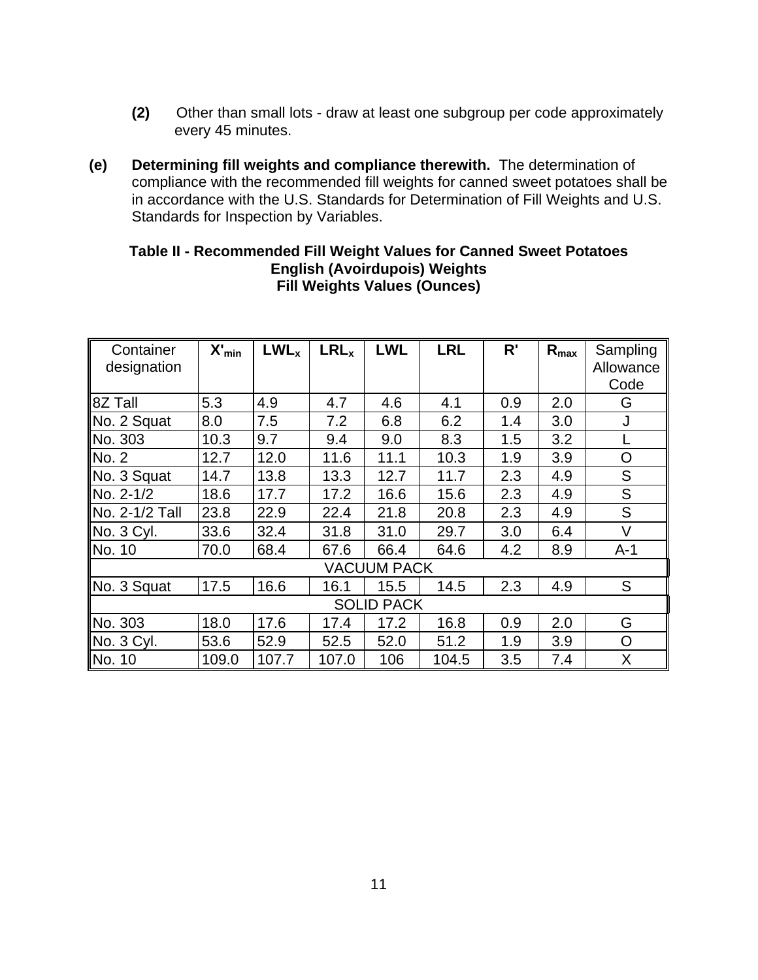- **(2)** Other than small lots draw at least one subgroup per code approximately every 45 minutes.
- **(e) Determining fill weights and compliance therewith.** The determination of compliance with the recommended fill weights for canned sweet potatoes shall be in accordance with the U.S. Standards for Determination of Fill Weights and U.S. Standards for Inspection by Variables.

| Container         | $X'_{min}$ | LWL <sub>x</sub> | LRL <sub>x</sub> | <b>LWL</b>         | <b>LRL</b> | R'  | $R_{\text{max}}$ | Sampling  |
|-------------------|------------|------------------|------------------|--------------------|------------|-----|------------------|-----------|
| designation       |            |                  |                  |                    |            |     |                  | Allowance |
|                   |            |                  |                  |                    |            |     |                  | Code      |
| <b>8Z Tall</b>    | 5.3        | 4.9              | 4.7              | 4.6                | 4.1        | 0.9 | 2.0              | G         |
| No. 2 Squat       | 8.0        | 7.5              | 7.2              | 6.8                | 6.2        | 1.4 | 3.0              | J         |
| No. 303           | 10.3       | 9.7              | 9.4              | 9.0                | 8.3        | 1.5 | 3.2              |           |
| No. 2             | 12.7       | 12.0             | 11.6             | 11.1               | 10.3       | 1.9 | 3.9              | O         |
| No. 3 Squat       | 14.7       | 13.8             | 13.3             | 12.7               | 11.7       | 2.3 | 4.9              | S         |
| No. 2-1/2         | 18.6       | 17.7             | 17.2             | 16.6               | 15.6       | 2.3 | 4.9              | S         |
| No. 2-1/2 Tall    | 23.8       | 22.9             | 22.4             | 21.8               | 20.8       | 2.3 | 4.9              | S         |
| No. 3 Cyl.        | 33.6       | 32.4             | 31.8             | 31.0               | 29.7       | 3.0 | 6.4              | V         |
| No. 10            | 70.0       | 68.4             | 67.6             | 66.4               | 64.6       | 4.2 | 8.9              | $A-1$     |
|                   |            |                  |                  | <b>VACUUM PACK</b> |            |     |                  |           |
| No. 3 Squat       | 17.5       | 16.6             | 16.1             | 15.5               | 14.5       | 2.3 | 4.9              | S         |
| <b>SOLID PACK</b> |            |                  |                  |                    |            |     |                  |           |
| No. 303           | 18.0       | 17.6             | 17.4             | 17.2               | 16.8       | 0.9 | 2.0              | G         |
| No. 3 Cyl.        | 53.6       | 52.9             | 52.5             | 52.0               | 51.2       | 1.9 | 3.9              | O         |
| No. 10            | 109.0      | 107.7            | 107.0            | 106                | 104.5      | 3.5 | 7.4              | Χ         |

#### **Table II - Recommended Fill Weight Values for Canned Sweet Potatoes English (Avoirdupois) Weights Fill Weights Values (Ounces)**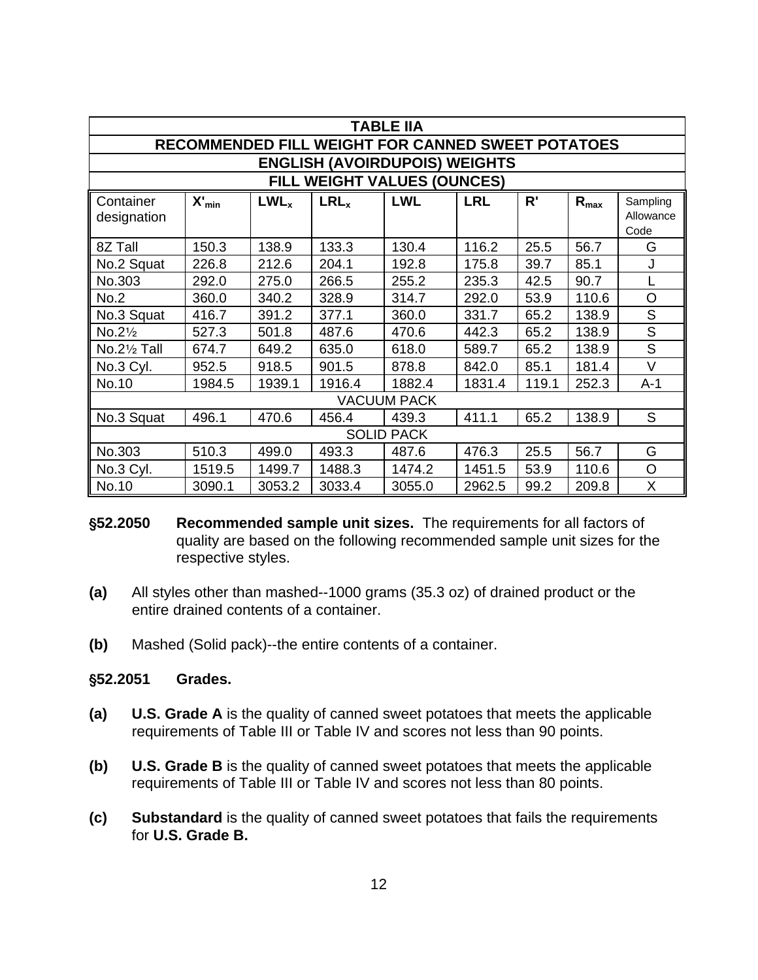| <b>TABLE IIA</b>         |                                                   |                  |                                      |            |            |              |                  |                       |
|--------------------------|---------------------------------------------------|------------------|--------------------------------------|------------|------------|--------------|------------------|-----------------------|
|                          | RECOMMENDED FILL WEIGHT FOR CANNED SWEET POTATOES |                  |                                      |            |            |              |                  |                       |
|                          |                                                   |                  | <b>ENGLISH (AVOIRDUPOIS) WEIGHTS</b> |            |            |              |                  |                       |
|                          |                                                   |                  | FILL WEIGHT VALUES (OUNCES)          |            |            |              |                  |                       |
| Container<br>designation | $X_{min}$                                         | LWL <sub>x</sub> | LRL <sub>x</sub>                     | <b>LWL</b> | <b>LRL</b> | $R^{\prime}$ | $R_{\text{max}}$ | Sampling<br>Allowance |
|                          |                                                   |                  |                                      |            |            |              |                  | Code                  |
| 8Z Tall                  | 150.3                                             | 138.9            | 133.3                                | 130.4      | 116.2      | 25.5         | 56.7             | G                     |
| No.2 Squat               | 226.8                                             | 212.6            | 204.1                                | 192.8      | 175.8      | 39.7         | 85.1             | J                     |
| No.303                   | 292.0                                             | 275.0            | 266.5                                | 255.2      | 235.3      | 42.5         | 90.7             |                       |
| No.2                     | 360.0                                             | 340.2            | 328.9                                | 314.7      | 292.0      | 53.9         | 110.6            | O                     |
| No.3 Squat               | 416.7                                             | 391.2            | 377.1                                | 360.0      | 331.7      | 65.2         | 138.9            | S                     |
| $No.2\frac{1}{2}$        | 527.3                                             | 501.8            | 487.6                                | 470.6      | 442.3      | 65.2         | 138.9            | S                     |
| No.21/2 Tall             | 674.7                                             | 649.2            | 635.0                                | 618.0      | 589.7      | 65.2         | 138.9            | S                     |
| No.3 Cyl.                | 952.5                                             | 918.5            | 901.5                                | 878.8      | 842.0      | 85.1         | 181.4            | V                     |
| No.10                    | 1984.5                                            | 1939.1           | 1916.4                               | 1882.4     | 1831.4     | 119.1        | 252.3            | $A-1$                 |
| <b>VACUUM PACK</b>       |                                                   |                  |                                      |            |            |              |                  |                       |
| No.3 Squat               | 496.1                                             | 470.6            | 456.4                                | 439.3      | 411.1      | 65.2         | 138.9            | S                     |
| <b>SOLID PACK</b>        |                                                   |                  |                                      |            |            |              |                  |                       |
| No.303                   | 510.3                                             | 499.0            | 493.3                                | 487.6      | 476.3      | 25.5         | 56.7             | G                     |
| No.3 Cyl.                | 1519.5                                            | 1499.7           | 1488.3                               | 1474.2     | 1451.5     | 53.9         | 110.6            | O                     |
| No.10                    | 3090.1                                            | 3053.2           | 3033.4                               | 3055.0     | 2962.5     | 99.2         | 209.8            | X                     |

- '**52.2050 Recommended sample unit sizes.** The requirements for all factors of quality are based on the following recommended sample unit sizes for the respective styles.
- **(a)** All styles other than mashed--1000 grams (35.3 oz) of drained product or the entire drained contents of a container.
- **(b)** Mashed (Solid pack)--the entire contents of a container.

#### '**52.2051 Grades.**

- **(a) U.S. Grade A** is the quality of canned sweet potatoes that meets the applicable requirements of Table III or Table IV and scores not less than 90 points.
- **(b) U.S. Grade B** is the quality of canned sweet potatoes that meets the applicable requirements of Table III or Table IV and scores not less than 80 points.
- **(c) Substandard** is the quality of canned sweet potatoes that fails the requirements for **U.S. Grade B.**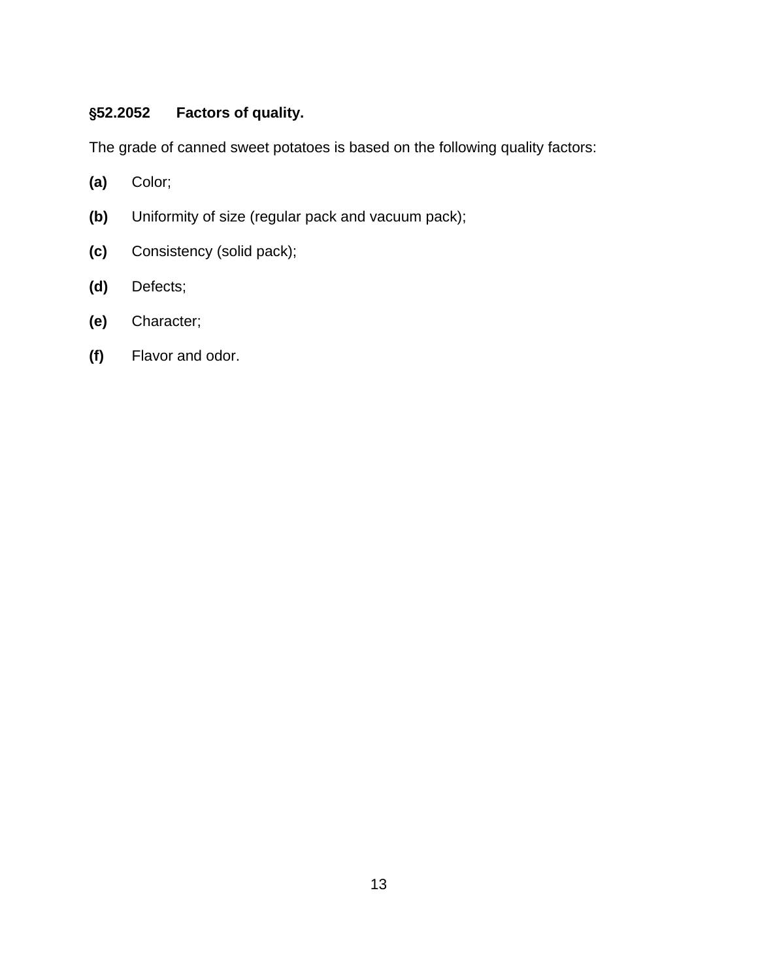# '**52.2052 Factors of quality.**

The grade of canned sweet potatoes is based on the following quality factors:

- **(a)** Color;
- **(b)** Uniformity of size (regular pack and vacuum pack);
- **(c)** Consistency (solid pack);
- **(d)** Defects;
- **(e)** Character;
- **(f)** Flavor and odor.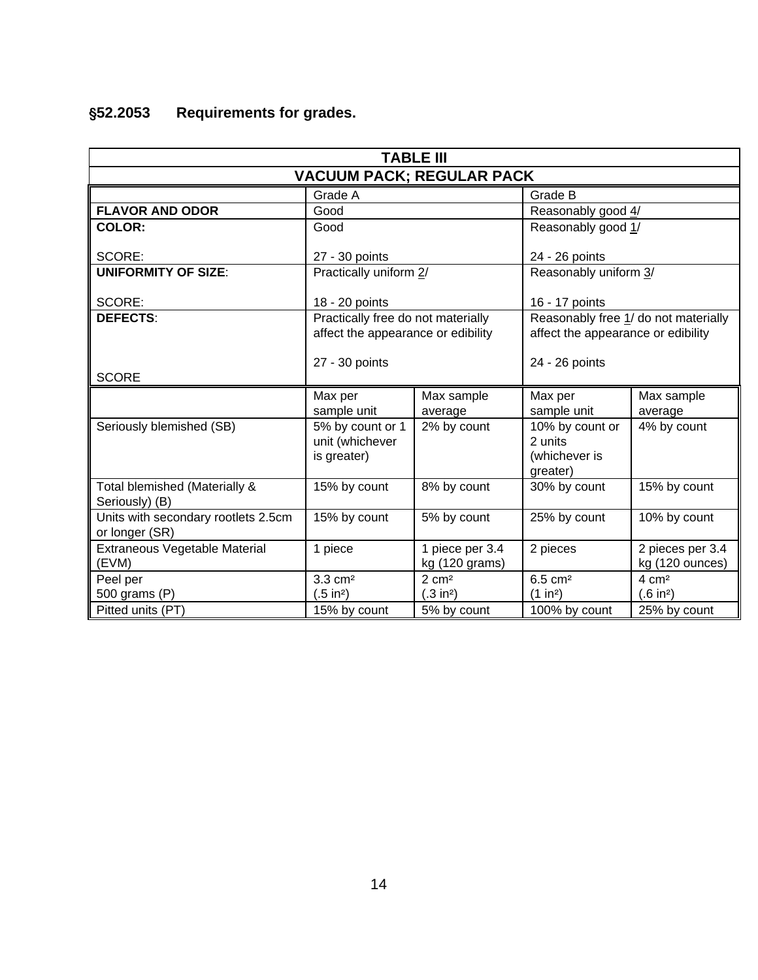# '**52.2053 Requirements for grades.**

| <b>TABLE III</b>                    |                                                                          |                     |                                    |                                      |  |  |
|-------------------------------------|--------------------------------------------------------------------------|---------------------|------------------------------------|--------------------------------------|--|--|
| <b>VACUUM PACK; REGULAR PACK</b>    |                                                                          |                     |                                    |                                      |  |  |
|                                     | Grade A                                                                  |                     | Grade B                            |                                      |  |  |
| <b>FLAVOR AND ODOR</b>              | Good                                                                     |                     | Reasonably good 4/                 |                                      |  |  |
| <b>COLOR:</b>                       | Good                                                                     |                     | Reasonably good 1/                 |                                      |  |  |
| SCORE:                              | 27 - 30 points                                                           |                     | 24 - 26 points                     |                                      |  |  |
| <b>UNIFORMITY OF SIZE:</b>          | Practically uniform 2/                                                   |                     | Reasonably uniform 3/              |                                      |  |  |
| SCORE:                              | 18 - 20 points                                                           |                     | 16 - 17 points                     |                                      |  |  |
| <b>DEFECTS:</b>                     | Practically free do not materially<br>affect the appearance or edibility |                     | affect the appearance or edibility | Reasonably free 1/ do not materially |  |  |
|                                     |                                                                          |                     |                                    |                                      |  |  |
|                                     | 27 - 30 points                                                           |                     | 24 - 26 points                     |                                      |  |  |
| <b>SCORE</b>                        |                                                                          |                     |                                    |                                      |  |  |
|                                     | Max per                                                                  | Max sample          | Max per                            | Max sample                           |  |  |
|                                     | sample unit                                                              | average             | sample unit                        | average                              |  |  |
| Seriously blemished (SB)            | 5% by count or 1                                                         | 2% by count         | 10% by count or                    | 4% by count                          |  |  |
|                                     | unit (whichever<br>is greater)                                           |                     | 2 units<br>(whichever is           |                                      |  |  |
|                                     |                                                                          |                     | greater)                           |                                      |  |  |
| Total blemished (Materially &       | 15% by count                                                             | 8% by count         | 30% by count                       | 15% by count                         |  |  |
| Seriously) (B)                      |                                                                          |                     |                                    |                                      |  |  |
| Units with secondary rootlets 2.5cm | 15% by count<br>5% by count                                              |                     | 25% by count                       | 10% by count                         |  |  |
| or longer (SR)                      |                                                                          |                     |                                    |                                      |  |  |
| Extraneous Vegetable Material       | 1 piece                                                                  | 1 piece per 3.4     | 2 pieces                           | 2 pieces per 3.4                     |  |  |
| (EVM)                               |                                                                          | kg (120 grams)      |                                    | kg (120 ounces)                      |  |  |
| Peel per                            | $3.3 \text{ cm}^2$                                                       | $2 \, \text{cm}^2$  | $6.5 \text{ cm}^2$                 | $4 \text{ cm}^2$                     |  |  |
| 500 grams (P)                       | $(.5 \text{ in}^2)$                                                      | $(.3 \text{ in}^2)$ | (1 in <sup>2</sup> )               | $(.6 \text{ in}^2)$                  |  |  |
| Pitted units (PT)                   | 15% by count                                                             | 5% by count         | 100% by count                      | 25% by count                         |  |  |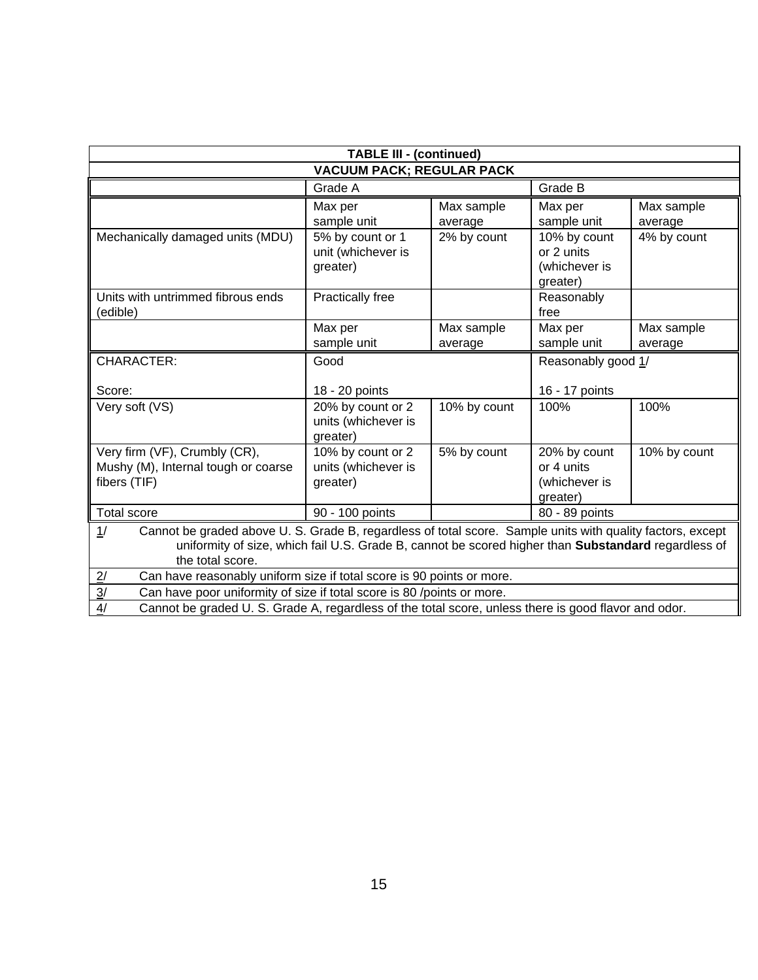| <b>TABLE III - (continued)</b>                                                                                                                                                                                                              |                                                      |                       |                                                         |                       |  |
|---------------------------------------------------------------------------------------------------------------------------------------------------------------------------------------------------------------------------------------------|------------------------------------------------------|-----------------------|---------------------------------------------------------|-----------------------|--|
| <b>VACUUM PACK; REGULAR PACK</b>                                                                                                                                                                                                            |                                                      |                       |                                                         |                       |  |
|                                                                                                                                                                                                                                             | Grade A                                              |                       | Grade B                                                 |                       |  |
|                                                                                                                                                                                                                                             | Max per<br>sample unit                               | Max sample<br>average | Max per<br>sample unit                                  | Max sample<br>average |  |
| Mechanically damaged units (MDU)                                                                                                                                                                                                            | 5% by count or 1<br>unit (whichever is<br>greater)   | 2% by count           | 10% by count<br>or 2 units<br>(whichever is<br>greater) | 4% by count           |  |
| Units with untrimmed fibrous ends<br>(edible)                                                                                                                                                                                               | Practically free                                     |                       | Reasonably<br>free                                      |                       |  |
|                                                                                                                                                                                                                                             | Max per<br>sample unit                               | Max sample<br>average | Max per<br>sample unit                                  | Max sample<br>average |  |
| CHARACTER:<br>Score:                                                                                                                                                                                                                        | Good<br>18 - 20 points                               |                       | Reasonably good 1/<br>16 - 17 points                    |                       |  |
| Very soft (VS)                                                                                                                                                                                                                              | 20% by count or 2<br>units (whichever is<br>greater) | 10% by count          | 100%                                                    | 100%                  |  |
| Very firm (VF), Crumbly (CR),<br>Mushy (M), Internal tough or coarse<br>fibers (TIF)                                                                                                                                                        | 10% by count or 2<br>units (whichever is<br>greater) | 5% by count           | 20% by count<br>or 4 units<br>(whichever is<br>greater) | 10% by count          |  |
| <b>Total score</b>                                                                                                                                                                                                                          | 90 - 100 points<br>80 - 89 points                    |                       |                                                         |                       |  |
| Cannot be graded above U. S. Grade B, regardless of total score. Sample units with quality factors, except<br>1/<br>uniformity of size, which fail U.S. Grade B, cannot be scored higher than Substandard regardless of<br>the total score. |                                                      |                       |                                                         |                       |  |
| 2/<br>Can have reasonably uniform size if total score is 90 points or more.                                                                                                                                                                 |                                                      |                       |                                                         |                       |  |
| $\overline{3/}$<br>Can have poor uniformity of size if total score is 80 /points or more.                                                                                                                                                   |                                                      |                       |                                                         |                       |  |
| 4/<br>Cannot be graded U. S. Grade A, regardless of the total score, unless there is good flavor and odor.                                                                                                                                  |                                                      |                       |                                                         |                       |  |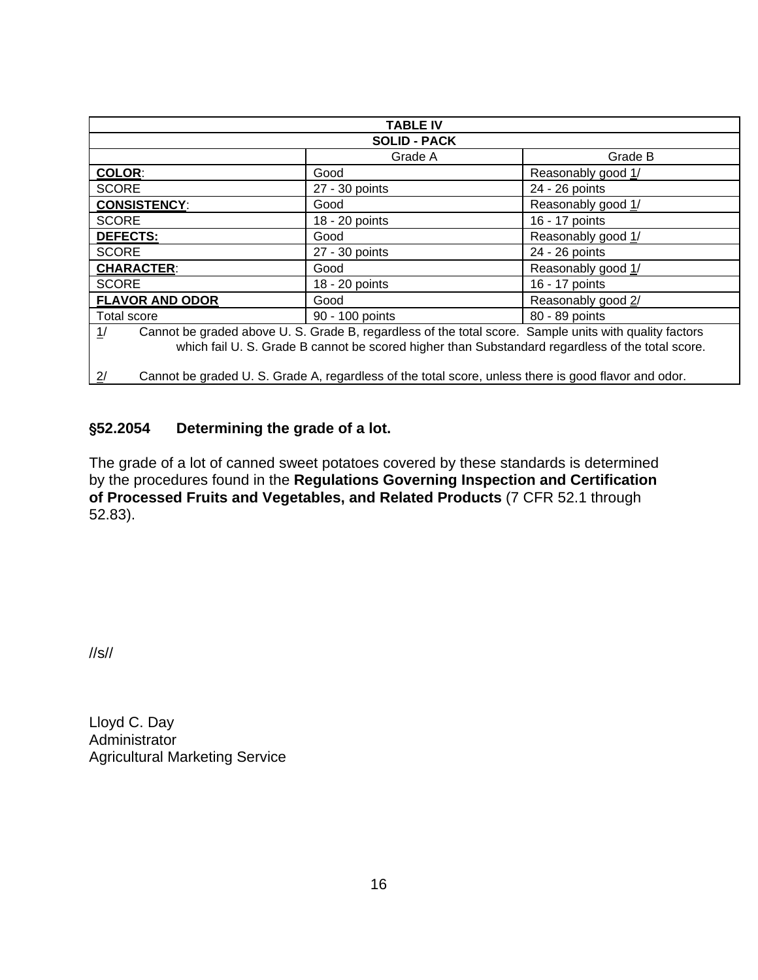| <b>TABLE IV</b>                                                                                                          |                |                    |  |  |  |
|--------------------------------------------------------------------------------------------------------------------------|----------------|--------------------|--|--|--|
| <b>SOLID - PACK</b>                                                                                                      |                |                    |  |  |  |
|                                                                                                                          | Grade A        | Grade B            |  |  |  |
| <b>COLOR:</b>                                                                                                            | Good           | Reasonably good 1/ |  |  |  |
| <b>SCORE</b>                                                                                                             | 27 - 30 points | 24 - 26 points     |  |  |  |
| <b>CONSISTENCY:</b>                                                                                                      | Good           | Reasonably good 1/ |  |  |  |
| <b>SCORE</b>                                                                                                             | 18 - 20 points | 16 - 17 points     |  |  |  |
| <b>DEFECTS:</b>                                                                                                          | Good           | Reasonably good 1/ |  |  |  |
| <b>SCORE</b>                                                                                                             | 27 - 30 points | 24 - 26 points     |  |  |  |
| <b>CHARACTER:</b>                                                                                                        | Good           | Reasonably good 1/ |  |  |  |
| <b>SCORE</b>                                                                                                             | 18 - 20 points | 16 - 17 points     |  |  |  |
| <b>FLAVOR AND ODOR</b>                                                                                                   | Good           | Reasonably good 2/ |  |  |  |
| 80 - 89 points<br>90 - 100 points<br><b>Total score</b>                                                                  |                |                    |  |  |  |
| Cannot be graded above U. S. Grade B, regardless of the total score. Sample units with quality factors<br>1/             |                |                    |  |  |  |
| which fail U.S. Grade B cannot be scored higher than Substandard regardless of the total score.                          |                |                    |  |  |  |
| Cannot be graded U. S. Grade A, regardless of the total score, unless there is good flavor and odor.<br>$\overline{2}$ / |                |                    |  |  |  |

# '**52.2054 Determining the grade of a lot.**

The grade of a lot of canned sweet potatoes covered by these standards is determined by the procedures found in the **Regulations Governing Inspection and Certification of Processed Fruits and Vegetables, and Related Products** (7 CFR 52.1 through 52.83).

//s//

Lloyd C. Day Administrator Agricultural Marketing Service